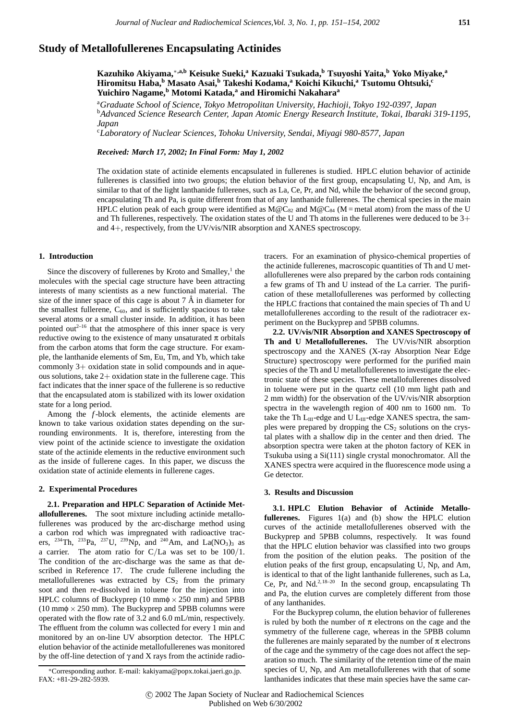# **Study of Metallofullerenes Encapsulating Actinides**

**Kazuhiko Akiyama,**∗**,a,b Keisuke Sueki,a Kazuaki Tsukada,b Tsuyoshi Yaita,<sup>b</sup> Yoko Miyake,<sup>a</sup> Hiromitsu Haba,<sup>b</sup> Masato Asai,<sup>b</sup> Takeshi Kodama,<sup>a</sup> Koichi Kikuchi,a Tsutomu Ohtsuki,c Yuichiro Nagame,<sup>b</sup> Motomi Katada,<sup>a</sup> and Hiromichi Nakahara<sup>a</sup>**

a *Graduate School of Science, Tokyo Metropolitan University, Hachioji, Tokyo 192-0397, Japan* <sup>b</sup>*Advanced Science Research Center, Japan Atomic Energy Research Institute, Tokai, Ibaraki 319-1195, Japan*

c *Laboratory of Nuclear Sciences, Tohoku University, Sendai, Miyagi 980-8577, Japan*

*Received: March 17, 2002; In Final Form: May 1, 2002*

The oxidation state of actinide elements encapsulated in fullerenes is studied. HPLC elution behavior of actinide fullerenes is classified into two groups; the elution behavior of the first group, encapsulating U, Np, and Am, is similar to that of the light lanthanide fullerenes, such as La, Ce, Pr, and Nd, while the behavior of the second group, encapsulating Th and Pa, is quite different from that of any lanthanide fullerenes. The chemical species in the main HPLC elution peak of each group were identified as  $M@C_{82}$  and  $M@C_{84}$  (M = metal atom) from the mass of the U and Th fullerenes, respectively. The oxidation states of the U and Th atoms in the fullerenes were deduced to be  $3+$ and 4+, respectively, from the UV/vis/NIR absorption and XANES spectroscopy.

#### **1. Introduction**

Since the discovery of fullerenes by Kroto and Smalley, $<sup>1</sup>$  the</sup> molecules with the special cage structure have been attracting interests of many scientists as a new functional material. The size of the inner space of this cage is about  $7 \text{ Å}$  in diameter for the smallest fullerene,  $C_{60}$ , and is sufficiently spacious to take several atoms or a small cluster inside. In addition, it has been pointed out<sup> $2-16$ </sup> that the atmosphere of this inner space is very reductive owing to the existence of many unsaturated  $\pi$  orbitals from the carbon atoms that form the cage structure. For example, the lanthanide elements of Sm, Eu, Tm, and Yb, which take commonly 3+ oxidation state in solid compounds and in aqueous solutions, take 2+ oxidation state in the fullerene cage. This fact indicates that the inner space of the fullerene is so reductive that the encapsulated atom is stabilized with its lower oxidation state for a long period.

Among the *f*-block elements, the actinide elements are known to take various oxidation states depending on the surrounding environments. It is, therefore, interesting from the view point of the actinide science to investigate the oxidation state of the actinide elements in the reductive environment such as the inside of fullerene cages. In this paper, we discuss the oxidation state of actinide elements in fullerene cages.

#### **2. Experimental Procedures**

**2.1. Preparation and HPLC Separation of Actinide Metallofullerenes.** The soot mixture including actinide metallofullerenes was produced by the arc-discharge method using a carbon rod which was impregnated with radioactive tracers, <sup>234</sup>Th, <sup>233</sup>Pa, <sup>237</sup>U, <sup>239</sup>Np, and <sup>240</sup>Am, and La(NO<sub>3</sub>)<sub>3</sub> as a carrier. The atom ratio for C*/*La was set to be 100*/*1. The condition of the arc-discharge was the same as that described in Reference 17. The crude fullerene including the metallofullerenes was extracted by  $CS<sub>2</sub>$  from the primary soot and then re-dissolved in toluene for the injection into HPLC columns of Buckyprep (10 mm $\phi \times 250$  mm) and 5PBB (10 mm $\phi \times 250$  mm). The Buckyprep and 5PBB columns were operated with the flow rate of 3.2 and 6.0 mL/min, respectively. The effluent from the column was collected for every 1 min and monitored by an on-line UV absorption detector. The HPLC elution behavior of the actinide metallofullerenes was monitored by the off-line detection of  $\gamma$  and X rays from the actinide radiotracers. For an examination of physico-chemical properties of the actinide fullerenes, macroscopic quantities of Th and U metallofullerenes were also prepared by the carbon rods containing a few grams of Th and U instead of the La carrier. The purification of these metallofullerenes was performed by collecting the HPLC fractions that contained the main species of Th and U metallofullerenes according to the result of the radiotracer experiment on the Buckyprep and 5PBB columns.

**2.2. UV/vis/NIR Absorption and XANES Spectroscopy of Th and U Metallofullerenes.** The UV/vis/NIR absorption spectroscopy and the XANES (X-ray Absorption Near Edge Structure) spectroscopy were performed for the purified main species of the Th and U metallofullerenes to investigate the electronic state of these species. These metallofullerenes dissolved in toluene were put in the quartz cell (10 mm light path and 2 mm width) for the observation of the UV/vis/NIR absorption spectra in the wavelength region of 400 nm to 1600 nm. To take the Th  $L_{III}$ -edge and U  $L_{III}$ -edge XANES spectra, the samples were prepared by dropping the  $CS<sub>2</sub>$  solutions on the crystal plates with a shallow dip in the center and then dried. The absorption spectra were taken at the photon factory of KEK in Tsukuba using a Si(111) single crystal monochromator. All the XANES spectra were acquired in the fluorescence mode using a Ge detector.

#### **3. Results and Discussion**

**3.1. HPLC Elution Behavior of Actinide Metallofullerenes.** Figures 1(a) and (b) show the HPLC elution curves of the actinide metallofullerenes observed with the Buckyprep and 5PBB columns, respectively. It was found that the HPLC elution behavior was classified into two groups from the position of the elution peaks. The position of the elution peaks of the first group, encapsulating U, Np, and Am, is identical to that of the light lanthanide fullerenes, such as La, Ce, Pr, and Nd.<sup>2,18-20</sup> In the second group, encapsulating Th and Pa, the elution curves are completely different from those of any lanthanides.

For the Buckyprep column, the elution behavior of fullerenes is ruled by both the number of  $\pi$  electrons on the cage and the symmetry of the fullerene cage, whereas in the 5PBB column the fullerenes are mainly separated by the number of  $\pi$  electrons of the cage and the symmetry of the cage does not affect the separation so much. The similarity of the retention time of the main species of U, Np, and Am metallofullerenes with that of some lanthanides indicates that these main species have the same car-

<sup>∗</sup>Corresponding author. E-mail: kakiyama@popx.tokai.jaeri.go.jp. FAX: +81-29-282-5939.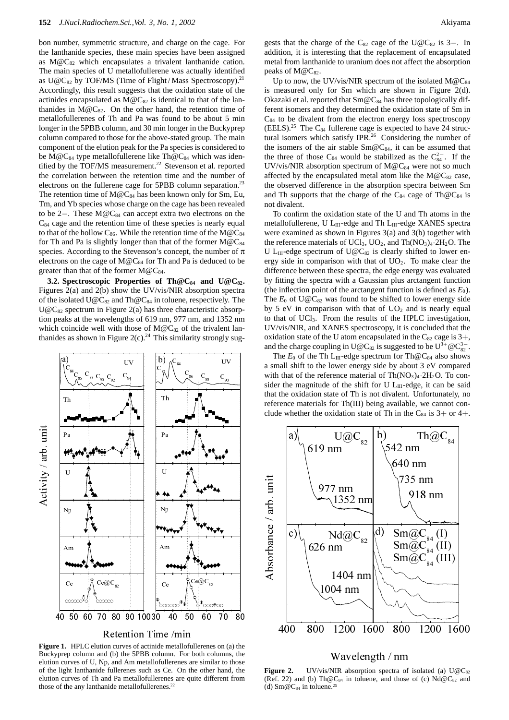bon number, symmetric structure, and charge on the cage. For the lanthanide species, these main species have been assigned as  $M@C_{82}$  which encapsulates a trivalent lanthanide cation. The main species of U metallofullerene was actually identified as  $U@C_{82}$  by TOF/MS (Time of Flight/Mass Spectroscopy).<sup>21</sup> Accordingly, this result suggests that the oxidation state of the actinides encapsulated as  $M@C_{82}$  is identical to that of the lanthanides in  $M@C_{82}$ . On the other hand, the retention time of metallofullerenes of Th and Pa was found to be about 5 min longer in the 5PBB column, and 30 min longer in the Buckyprep column compared to those for the above-stated group. The main component of the elution peak for the Pa species is considered to be M@C<sub>84</sub> type metallofullerene like Th@C<sub>84</sub> which was identified by the TOF/MS measurement.<sup>22</sup> Stevenson et al. reported the correlation between the retention time and the number of electrons on the fullerene cage for 5PBB column separation.<sup>23</sup> The retention time of  $M@C_{84}$  has been known only for Sm, Eu, Tm, and Yb species whose charge on the cage has been revealed to be 2−. These M@C84 can accept extra two electrons on the  $C_{84}$  cage and the retention time of these species is nearly equal to that of the hollow  $C_{86}$ . While the retention time of the M@C<sub>84</sub> for Th and Pa is slightly longer than that of the former  $M@C_{84}$ species. According to the Stevenson's concept, the number of  $\pi$ electrons on the cage of  $M@C_{84}$  for Th and Pa is deduced to be greater than that of the former  $M@C_{84}$ .

**3.2. Spectroscopic Properties of Th@C84 and U@C82.** Figures 2(a) and 2(b) show the UV/vis/NIR absorption spectra of the isolated  $U@C_{82}$  and Th $@C_{84}$  in toluene, respectively. The  $U@C_{82}$  spectrum in Figure 2(a) has three characteristic absorption peaks at the wavelengths of 619 nm, 977 nm, and 1352 nm which coincide well with those of  $M@C_{82}$  of the trivalent lanthanides as shown in Figure 2(c).<sup>24</sup> This similarity strongly sug-



Retention Time /min

**Figure 1.** HPLC elution curves of actinide metallofullerenes on (a) the Buckyprep column and (b) the 5PBB column. For both columns, the elution curves of U, Np, and Am metallofullerenes are similar to those of the light lanthanide fullerenes such as Ce. On the other hand, the elution curves of Th and Pa metallofullerenes are quite different from those of the any lanthanide metallofullerenes.<sup>22</sup>

gests that the charge of the  $C_{82}$  cage of the U@C<sub>82</sub> is 3−. In addition, it is interesting that the replacement of encapsulated metal from lanthanide to uranium does not affect the absorption peaks of  $M@C_{82}$ .

Up to now, the UV/vis/NIR spectrum of the isolated  $M@C_{84}$ is measured only for Sm which are shown in Figure 2(d). Okazaki et al. reported that  $Sm@C_{84}$  has three topologically different isomers and they determined the oxidation state of Sm in  $C_{84}$  to be divalent from the electron energy loss spectroscopy  $(EELS).^{25}$  The C<sub>84</sub> fullerene cage is expected to have 24 structural isomers which satisfy IPR.<sup>26</sup> Considering the number of the isomers of the air stable  $Sm@C_{84}$ , it can be assumed that the three of those C<sub>84</sub> would be stabilized as the  $C_{84}^{2-}$ . If the UV/vis/NIR absorption spectrum of  $M@C_{84}$  were not so much affected by the encapsulated metal atom like the  $M@C_{82}$  case, the observed difference in the absorption spectra between Sm and Th supports that the charge of the C<sub>84</sub> cage of Th $@C_{84}$  is not divalent.

To confirm the oxidation state of the U and Th atoms in the metallofullerene, U L<sub>III</sub>-edge and Th L<sub>III</sub>-edge XANES spectra were examined as shown in Figures 3(a) and 3(b) together with the reference materials of UCl<sub>3</sub>, UO<sub>2</sub>, and Th $(NO<sub>3</sub>)<sub>4</sub>·2H<sub>2</sub>O$ . The U L<sub>III</sub>-edge spectrum of U@C<sub>82</sub> is clearly shifted to lower energy side in comparison with that of  $UO<sub>2</sub>$ . To make clear the difference between these spectra, the edge energy was evaluated by fitting the spectra with a Gaussian plus arctangent function (the inflection point of the arctangent function is defined as  $E_0$ ). The  $E_0$  of U@C<sub>82</sub> was found to be shifted to lower energy side by 5 eV in comparison with that of  $UO<sub>2</sub>$  and is nearly equal to that of UCl3. From the results of the HPLC investigation, UV/vis/NIR, and XANES spectroscopy, it is concluded that the oxidation state of the U atom encapsulated in the  $C_{82}$  cage is  $3+$ , and the charge coupling in U@C<sub>82</sub> is suggested to be  $U^{3+} @ C^{3-}_{82}$ .

The  $E_0$  of the Th L<sub>III</sub>-edge spectrum for Th $@C_{84}$  also shows a small shift to the lower energy side by about 3 eV compared with that of the reference material of  $Th(NO<sub>3</sub>)<sub>4</sub>·2H<sub>2</sub>O$ . To consider the magnitude of the shift for U  $L_{III}$ -edge, it can be said that the oxidation state of Th is not divalent. Unfortunately, no reference materials for Th(III) being available, we cannot conclude whether the oxidation state of Th in the  $C_{84}$  is  $3+$  or  $4+$ .



# Wavelength / nm

Figure 2. UV/vis/NIR absorption spectra of isolated (a) U@C<sub>82</sub> (Ref. 22) and (b) Th@C<sub>84</sub> in toluene, and those of (c)  $Nd@C_{82}$  and (d)  $Sm@C_{84}$  in toluene.<sup>25</sup>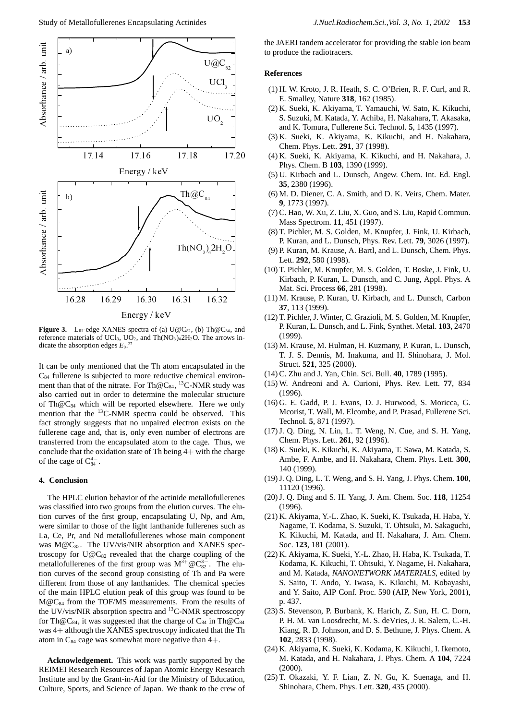

**Figure 3.** L<sub>III</sub>-edge XANES spectra of (a)  $U@C_{82}$ , (b) Th $@C_{84}$ , and reference materials of UCl<sub>3</sub>, UO<sub>2</sub>, and Th $(NO<sub>3</sub>)<sub>4</sub>2H<sub>2</sub>O$ . The arrows indicate the absorption edges  $E_0$ .<sup>27</sup>

It can be only mentioned that the Th atom encapsulated in the  $C_{84}$  fullerene is subjected to more reductive chemical environment than that of the nitrate. For Th $@C_{84}$ , <sup>13</sup>C-NMR study was also carried out in order to determine the molecular structure of Th $@C_{84}$  which will be reported elsewhere. Here we only mention that the <sup>13</sup>C-NMR spectra could be observed. This fact strongly suggests that no unpaired electron exists on the fullerene cage and, that is, only even number of electrons are transferred from the encapsulated atom to the cage. Thus, we conclude that the oxidation state of Th being  $4+$  with the charge of the cage of  $C_{84}^{4-}$ .

### **4. Conclusion**

The HPLC elution behavior of the actinide metallofullerenes was classified into two groups from the elution curves. The elution curves of the first group, encapsulating U, Np, and Am, were similar to those of the light lanthanide fullerenes such as La, Ce, Pr, and Nd metallofullerenes whose main component was  $M@C_{82}$ . The UV/vis/NIR absorption and XANES spectroscopy for  $U@C_{82}$  revealed that the charge coupling of the metallofullerenes of the first group was M<sup>3+</sup> @C<sub>82</sub><sup>-</sup>. The elution curves of the second group consisting of Th and Pa were different from those of any lanthanides. The chemical species of the main HPLC elution peak of this group was found to be  $M@C_{84}$  from the TOF/MS measurements. From the results of the UV/vis/NIR absorption spectra and  ${}^{13}$ C-NMR spectroscopy for Th@C<sub>84</sub>, it was suggested that the charge of C<sub>84</sub> in Th@C<sub>84</sub> was 4+ although the XANES spectroscopy indicated that the Th atom in  $C_{84}$  cage was somewhat more negative than  $4+$ .

**Acknowledgement.** This work was partly supported by the REIMEI Research Resources of Japan Atomic Energy Research Institute and by the Grant-in-Aid for the Ministry of Education, Culture, Sports, and Science of Japan. We thank to the crew of

the JAERI tandem accelerator for providing the stable ion beam to produce the radiotracers.

## **References**

- (1) H. W. Kroto, J. R. Heath, S. C. O'Brien, R. F. Curl, and R. E. Smalley, Nature **318**, 162 (1985).
- (2) K. Sueki, K. Akiyama, T. Yamauchi, W. Sato, K. Kikuchi, S. Suzuki, M. Katada, Y. Achiba, H. Nakahara, T. Akasaka, and K. Tomura, Fullerene Sci. Technol. **5**, 1435 (1997).
- (3) K. Sueki, K. Akiyama, K. Kikuchi, and H. Nakahara, Chem. Phys. Lett. **291**, 37 (1998).
- (4) K. Sueki, K. Akiyama, K. Kikuchi, and H. Nakahara, J. Phys. Chem. B **103**, 1390 (1999).
- (5) U. Kirbach and L. Dunsch, Angew. Chem. Int. Ed. Engl. **35**, 2380 (1996).
- (6) M. D. Diener, C. A. Smith, and D. K. Veirs, Chem. Mater. **9**, 1773 (1997).
- (7) C. Hao, W. Xu, Z. Liu, X. Guo, and S. Liu, Rapid Commun. Mass Spectrom. **11**, 451 (1997).
- (8) T. Pichler, M. S. Golden, M. Knupfer, J. Fink, U. Kirbach, P. Kuran, and L. Dunsch, Phys. Rev. Lett. **79**, 3026 (1997).
- (9) P. Kuran, M. Krause, A. Bartl, and L. Dunsch, Chem. Phys. Lett. **292**, 580 (1998).
- (10) T. Pichler, M. Knupfer, M. S. Golden, T. Boske, J. Fink, U. Kirbach, P. Kuran, L. Dunsch, and C. Jung, Appl. Phys. A Mat. Sci. Process **66**, 281 (1998).
- (11) M. Krause, P. Kuran, U. Kirbach, and L. Dunsch, Carbon **37**, 113 (1999).
- (12) T. Pichler, J. Winter, C. Grazioli, M. S. Golden, M. Knupfer, P. Kuran, L. Dunsch, and L. Fink, Synthet. Metal. **103**, 2470 (1999).
- (13) M. Krause, M. Hulman, H. Kuzmany, P. Kuran, L. Dunsch, T. J. S. Dennis, M. Inakuma, and H. Shinohara, J. Mol. Struct. **521**, 325 (2000).
- (14) C. Zhu and J. Yan, Chin. Sci. Bull. **40**, 1789 (1995).
- (15) W. Andreoni and A. Curioni, Phys. Rev. Lett. **77**, 834 (1996).
- (16) G. E. Gadd, P. J. Evans, D. J. Hurwood, S. Moricca, G. Mcorist, T. Wall, M. Elcombe, and P. Prasad, Fullerene Sci. Technol. **5**, 871 (1997).
- (17) J. Q. Ding, N. Lin, L. T. Weng, N. Cue, and S. H. Yang, Chem. Phys. Lett. **261**, 92 (1996).
- (18) K. Sueki, K. Kikuchi, K. Akiyama, T. Sawa, M. Katada, S. Ambe, F. Ambe, and H. Nakahara, Chem. Phys. Lett. **300**, 140 (1999).
- (19) J. Q. Ding, L. T. Weng, and S. H. Yang, J. Phys. Chem. **100**, 11120 (1996).
- (20) J. Q. Ding and S. H. Yang, J. Am. Chem. Soc. **118**, 11254 (1996).
- (21) K. Akiyama, Y.-L. Zhao, K. Sueki, K. Tsukada, H. Haba, Y. Nagame, T. Kodama, S. Suzuki, T. Ohtsuki, M. Sakaguchi, K. Kikuchi, M. Katada, and H. Nakahara, J. Am. Chem. Soc. **123**, 181 (2001).
- (22) K. Akiyama, K. Sueki, Y.-L. Zhao, H. Haba, K. Tsukada, T. Kodama, K. Kikuchi, T. Ohtsuki, Y. Nagame, H. Nakahara, and M. Katada, *NANONETWORK MATERIALS*, edited by S. Saito, T. Ando, Y. Iwasa, K. Kikuchi, M. Kobayashi, and Y. Saito, AIP Conf. Proc. 590 (AIP, New York, 2001), p. 437.
- (23) S. Stevenson, P. Burbank, K. Harich, Z. Sun, H. C. Dorn, P. H. M. van Loosdrecht, M. S. deVries, J. R. Salem, C.-H. Kiang, R. D. Johnson, and D. S. Bethune, J. Phys. Chem. A **102**, 2833 (1998).
- (24) K. Akiyama, K. Sueki, K. Kodama, K. Kikuchi, I. Ikemoto, M. Katada, and H. Nakahara, J. Phys. Chem. A **104**, 7224 (2000).
- (25) T. Okazaki, Y. F. Lian, Z. N. Gu, K. Suenaga, and H. Shinohara, Chem. Phys. Lett. **320**, 435 (2000).